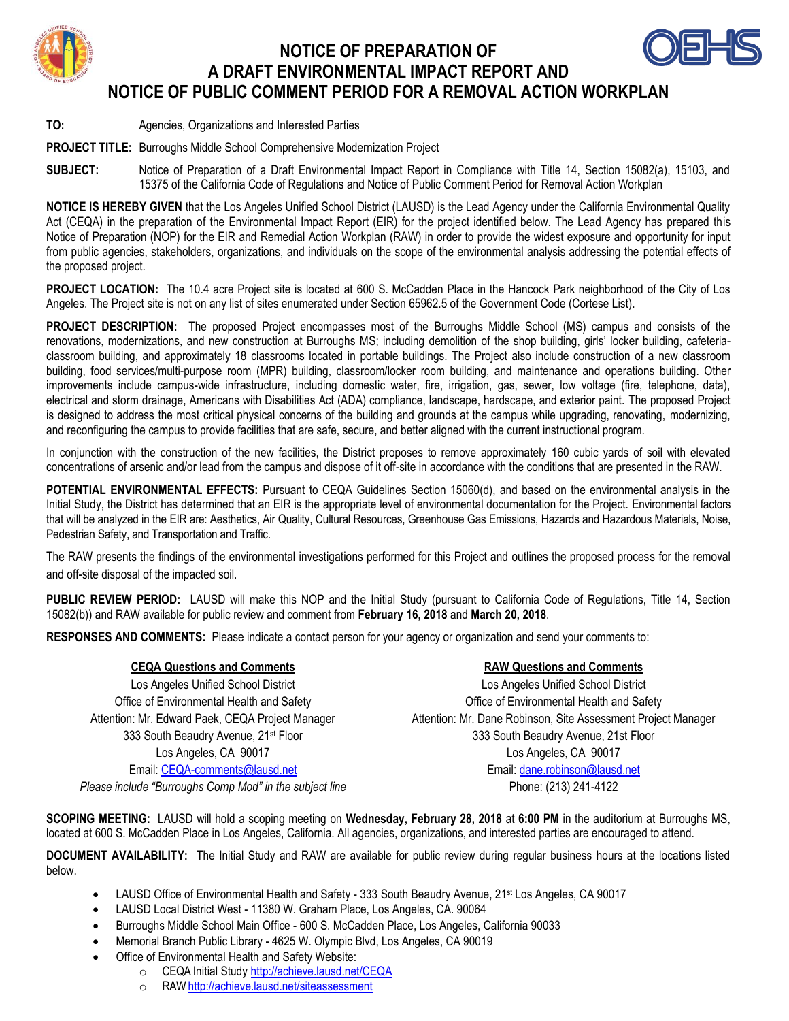

## **NOTICE OF PREPARATION OF A DRAFT ENVIRONMENTAL IMPACT REPORT AND NOTICE OF PUBLIC COMMENT PERIOD FOR A REMOVAL ACTION WORKPLAN**



**PROJECT TITLE:** Burroughs Middle School Comprehensive Modernization Project

**SUBJECT:** Notice of Preparation of a Draft Environmental Impact Report in Compliance with Title 14, Section 15082(a), 15103, and 15375 of the California Code of Regulations and Notice of Public Comment Period for Removal Action Workplan

**NOTICE IS HEREBY GIVEN** that the Los Angeles Unified School District (LAUSD) is the Lead Agency under the California Environmental Quality Act (CEQA) in the preparation of the Environmental Impact Report (EIR) for the project identified below. The Lead Agency has prepared this Notice of Preparation (NOP) for the EIR and Remedial Action Workplan (RAW) in order to provide the widest exposure and opportunity for input from public agencies, stakeholders, organizations, and individuals on the scope of the environmental analysis addressing the potential effects of the proposed project.

**PROJECT LOCATION:** The 10.4 acre Project site is located at 600 S. McCadden Place in the Hancock Park neighborhood of the City of Los Angeles. The Project site is not on any list of sites enumerated under Section 65962.5 of the Government Code (Cortese List).

**PROJECT DESCRIPTION:** The proposed Project encompasses most of the Burroughs Middle School (MS) campus and consists of the renovations, modernizations, and new construction at Burroughs MS; including demolition of the shop building, girls' locker building, cafeteriaclassroom building, and approximately 18 classrooms located in portable buildings. The Project also include construction of a new classroom building, food services/multi-purpose room (MPR) building, classroom/locker room building, and maintenance and operations building. Other improvements include campus-wide infrastructure, including domestic water, fire, irrigation, gas, sewer, low voltage (fire, telephone, data), electrical and storm drainage, Americans with Disabilities Act (ADA) compliance, landscape, hardscape, and exterior paint. The proposed Project is designed to address the most critical physical concerns of the building and grounds at the campus while upgrading, renovating, modernizing, and reconfiguring the campus to provide facilities that are safe, secure, and better aligned with the current instructional program.

In conjunction with the construction of the new facilities, the District proposes to remove approximately 160 cubic yards of soil with elevated concentrations of arsenic and/or lead from the campus and dispose of it off-site in accordance with the conditions that are presented in the RAW.

**POTENTIAL ENVIRONMENTAL EFFECTS:** Pursuant to CEQA Guidelines Section 15060(d), and based on the environmental analysis in the Initial Study, the District has determined that an EIR is the appropriate level of environmental documentation for the Project. Environmental factors that will be analyzed in the EIR are: Aesthetics, Air Quality, Cultural Resources, Greenhouse Gas Emissions, Hazards and Hazardous Materials, Noise, Pedestrian Safety, and Transportation and Traffic.

The RAW presents the findings of the environmental investigations performed for this Project and outlines the proposed process for the removal and off-site disposal of the impacted soil.

**PUBLIC REVIEW PERIOD:** LAUSD will make this NOP and the Initial Study (pursuant to California Code of Regulations, Title 14, Section 15082(b)) and RAW available for public review and comment from **February 16, 2018** and **March 20, 2018**.

**RESPONSES AND COMMENTS:** Please indicate a contact person for your agency or organization and send your comments to:

### **CEQA Questions and Comments RAW Questions and Comments**

Los Angeles Unified School District Office of Environmental Health and Safety Attention: Mr. Edward Paek, CEQA Project Manager 333 South Beaudry Avenue, 21st Floor Los Angeles, CA 90017 Email: [CEQA-comments@lausd.net](mailto:CEQA-comments@lausd.net) *Please include "Burroughs Comp Mod" in the subject line*

Los Angeles Unified School District Office of Environmental Health and Safety Attention: Mr. Dane Robinson, Site Assessment Project Manager 333 South Beaudry Avenue, 21st Floor Los Angeles, CA 90017 Email: [dane.robinson@lausd.net](mailto:dane.robinson@lausd.net) Phone: (213) 241-4122

**SCOPING MEETING:** LAUSD will hold a scoping meeting on **Wednesday, February 28, 2018** at **6:00 PM** in the auditorium at Burroughs MS, located at 600 S. McCadden Place in Los Angeles, California. All agencies, organizations, and interested parties are encouraged to attend.

**DOCUMENT AVAILABILITY:** The Initial Study and RAW are available for public review during regular business hours at the locations listed below.

- LAUSD Office of Environmental Health and Safety 333 South Beaudry Avenue, 21<sup>st</sup> Los Angeles, CA 90017
- LAUSD Local District West 11380 W. Graham Place, Los Angeles, CA. 90064
- Burroughs Middle School Main Office 600 S. McCadden Place, Los Angeles, California 90033
- Memorial Branch Public Library 4625 W. Olympic Blvd, Los Angeles, CA 90019
- Office of Environmental Health and Safety Website:
	- o CEQA Initial Stud[y http://achieve.lausd.net/CEQA](http://achieve.lausd.net/CEQA)
		- o RA[W http://achieve.lausd.net/siteassessment](http://achieve.lausd.net/siteassessment)